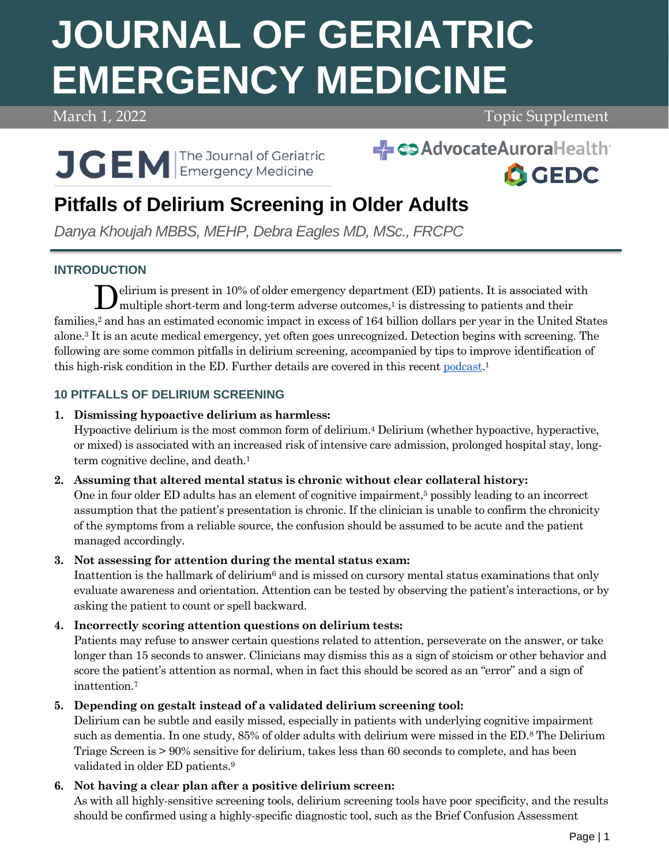# **JOURNAL OF GERIATRIC EMERGENCY MEDICINE**

# March 1, 2022 **Topic Supplement**



# SAdvocateAuroraHealth



# **Pitfalls of Delirium Screening in Older Adults**

*Danya Khoujah MBBS, MEHP, Debra Eagles MD, MSc., FRCPC*

# **INTRODUCTION**

elirium is present in 10% of older emergency department (ED) patients. It is associated with Delirium is present in 10% of older emergency department (ED) patients. It is associated will multiple short-term and long-term adverse outcomes,<sup>1</sup> is distressing to patients and their families, <sup>2</sup> and has an estimated economic impact in excess of 164 billion dollars per year in the United States alone. <sup>3</sup> It is an acute medical emergency, yet often goes unrecognized. Detection begins with screening. The following are some common pitfalls in delirium screening, accompanied by tips to improve identification of this high-risk condition in the ED. Further details are covered in this recent [podcast.](https://gedcollaborative.com/podcast/acute-brain-failure-in-older-emergency-department-patient/)<sup>1</sup>

# **10 PITFALLS OF DELIRIUM SCREENING**

# **1. Dismissing hypoactive delirium as harmless:**

Hypoactive delirium is the most common form of delirium.<sup>4</sup> Delirium (whether hypoactive, hyperactive, or mixed) is associated with an increased risk of intensive care admission, prolonged hospital stay, longterm cognitive decline, and death.<sup>1</sup>

## **2. Assuming that altered mental status is chronic without clear collateral history:**

One in four older ED adults has an element of cognitive impairment, <sup>5</sup> possibly leading to an incorrect assumption that the patient's presentation is chronic. If the clinician is unable to confirm the chronicity of the symptoms from a reliable source, the confusion should be assumed to be acute and the patient managed accordingly.

## **3. Not assessing for attention during the mental status exam:**

Inattention is the hallmark of delirium $6$  and is missed on cursory mental status examinations that only evaluate awareness and orientation. Attention can be tested by observing the patient's interactions, or by asking the patient to count or spell backward.

# **4. Incorrectly scoring attention questions on delirium tests:**

Patients may refuse to answer certain questions related to attention, perseverate on the answer, or take longer than 15 seconds to answer. Clinicians may dismiss this as a sign of stoicism or other behavior and score the patient's attention as normal, when in fact this should be scored as an "error" and a sign of inattention.<sup>7</sup>

# **5. Depending on gestalt instead of a validated delirium screening tool:**

Delirium can be subtle and easily missed, especially in patients with underlying cognitive impairment such as dementia. In one study, 85% of older adults with delirium were missed in the ED.<sup>8</sup> The Delirium Triage Screen is > 90% sensitive for delirium, takes less than 60 seconds to complete, and has been validated in older ED patients. 9

# **6. Not having a clear plan after a positive delirium screen:**

As with all highly-sensitive screening tools, delirium screening tools have poor specificity, and the results should be confirmed using a highly-specific diagnostic tool, such as the Brief Confusion Assessment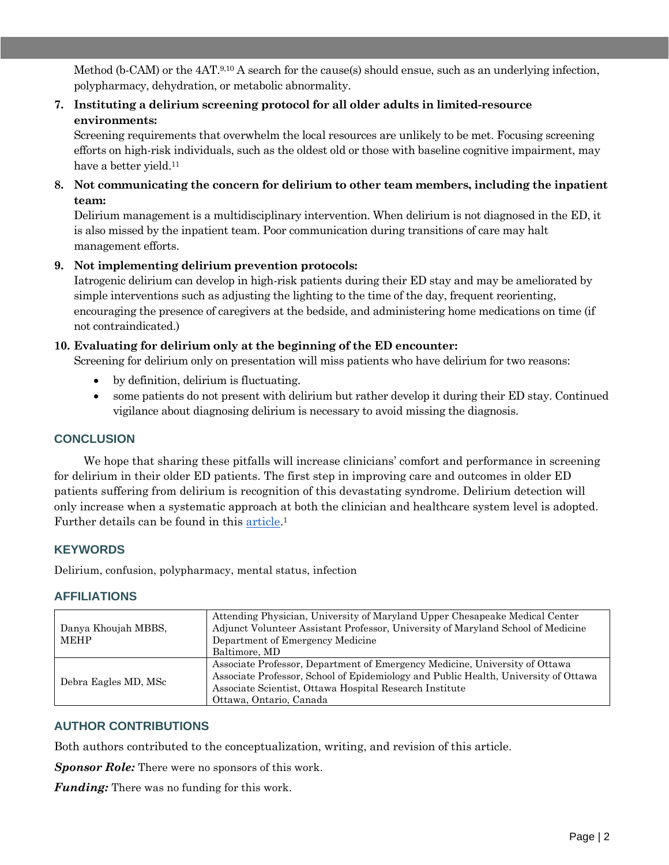Method (b-CAM) or the  $4AT.^{9,10}$  A search for the cause(s) should ensue, such as an underlying infection, polypharmacy, dehydration, or metabolic abnormality.

**7. Instituting a delirium screening protocol for all older adults in limited-resource environments:**

Screening requirements that overwhelm the local resources are unlikely to be met. Focusing screening efforts on high-risk individuals, such as the oldest old or those with baseline cognitive impairment, may have a better yield.<sup>11</sup>

**8. Not communicating the concern for delirium to other team members, including the inpatient team:**

Delirium management is a multidisciplinary intervention. When delirium is not diagnosed in the ED, it is also missed by the inpatient team. Poor communication during transitions of care may halt management efforts.

#### **9. Not implementing delirium prevention protocols:**

Iatrogenic delirium can develop in high-risk patients during their ED stay and may be ameliorated by simple interventions such as adjusting the lighting to the time of the day, frequent reorienting, encouraging the presence of caregivers at the bedside, and administering home medications on time (if not contraindicated.)

#### **10. Evaluating for delirium only at the beginning of the ED encounter:**

Screening for delirium only on presentation will miss patients who have delirium for two reasons:

- by definition, delirium is fluctuating.
- some patients do not present with delirium but rather develop it during their ED stay. Continued vigilance about diagnosing delirium is necessary to avoid missing the diagnosis.

### **CONCLUSION**

We hope that sharing these pitfalls will increase clinicians' comfort and performance in screening for delirium in their older ED patients. The first step in improving care and outcomes in older ED patients suffering from delirium is recognition of this devastating syndrome. Delirium detection will only increase when a systematic approach at both the clinician and healthcare system level is adopted. Further details can be found in this [article.](https://pubmed.ncbi.nlm.nih.gov/33863460/)<sup>1</sup>

#### **KEYWORDS**

Delirium, confusion, polypharmacy, mental status, infection

#### **AFFILIATIONS**

| Danya Khoujah MBBS,<br><b>MEHP</b> | Attending Physician, University of Maryland Upper Chesapeake Medical Center<br>Adjunct Volunteer Assistant Professor, University of Maryland School of Medicine<br>Department of Emergency Medicine<br>Baltimore, MD                                     |
|------------------------------------|----------------------------------------------------------------------------------------------------------------------------------------------------------------------------------------------------------------------------------------------------------|
| Debra Eagles MD, MSc               | Associate Professor, Department of Emergency Medicine, University of Ottawa<br>Associate Professor, School of Epidemiology and Public Health, University of Ottawa<br>Associate Scientist, Ottawa Hospital Research Institute<br>Ottawa, Ontario, Canada |

#### **AUTHOR CONTRIBUTIONS**

Both authors contributed to the conceptualization, writing, and revision of this article.

*Sponsor Role:* There were no sponsors of this work.

*Funding:* There was no funding for this work.